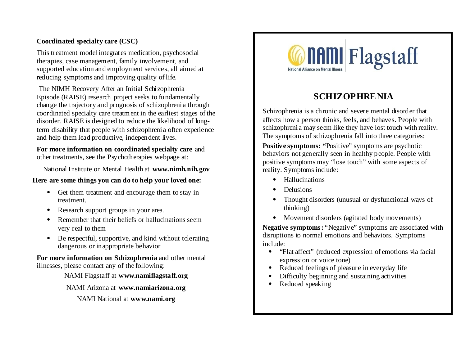### **Coordinated specialty care (CSC)**

This treatment model integrates medication, psychosocial therapies, case management, family involvement, and supported education and employment services, all aimed at reducing symptoms and improving quality of life.

 The NIMH Recovery After an Initial Schizophrenia Episode (RAISE) research project seeks to fundamentally change the trajectory and prognosis of schizophrenia through coordinated specialty care treatment in the earliest stages of the disorder. RAISE is designed to reduce the likelihood of longterm disability that people with schizophrenia often experience and help them lead productive, independent lives.

**For more information on coordinated specialty care** and other treatments, see the Psychotherapies webpage at:

National Institute on Mental Health at **www.nimh.nih.gov**

#### **Here are some things you can do to help your loved one:**

- Get them treatment and encourage them to stay in treatment.
- Research support groups in your area.
- Remember that their beliefs or hallucinations seem very real to them
- Be respectful, supportive, and kind without tolerating dangerous or inappropriate behavior

**For more information on Schizophrenia** and other mental illnesses, please contact any of the following:

### NAMI Flagstaff at **www.namiflagstaff.org**

#### NAMI Arizona at **www.namiarizona.org**

NAMI National at **www.nami.org**



# **SCHIZOPHRENIA**

Schizophrenia is a chronic and severe mental disorder that affects how a person thinks, feels, and behaves. People with schizophrenia may seem like they have lost touch with reality. The symptoms of schizophrenia fall into three categories:

**Positive symptoms: "**Positive" symptoms are psychotic behaviors not generally seen in healthy people. People with positive symptoms may "lose touch" with some aspects of reality. Symptoms include:

- Hallucinations
- **Delusions**
- Thought disorders (unusual or dysfunctional ways of thinking)
- Movement disorders (agitated body movements)

**Negative symptoms:** "Negative" symptoms are associated with disruptions to normal emotions and behaviors. Symptoms include:

- "Flat affect" (reduced expression of emotions via facial expression or voice tone)
- Reduced feelings of pleasure in everyday life
- Difficulty beginning and sustaining activities
- Reduced speaking